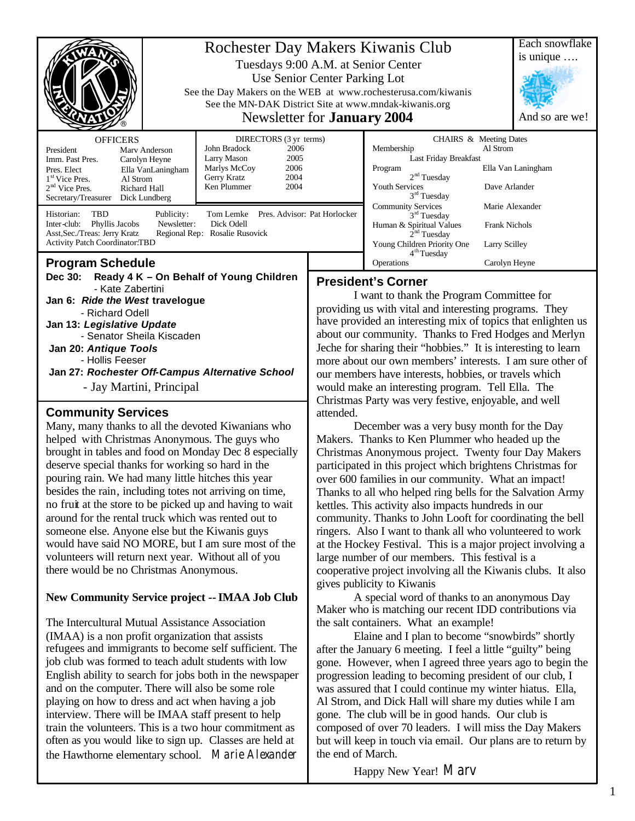|                                                                                                                                                                                                                                                                                                                                               |  | Rochester Day Makers Kiwanis Club<br>Tuesdays 9:00 A.M. at Senior Center<br>Use Senior Center Parking Lot<br>See the Day Makers on the WEB at www.rochesterusa.com/kiwanis<br>See the MN-DAK District Site at www.mndak-kiwanis.org<br>Newsletter for <b>January</b> 2004 |                                                                                                                                                                                                                                                                                                                                                                                                                                                                                                                                                                                               |                                                                                                                                                                                                                                                                                                                                                                                                          |  | Each snowflake<br>is unique<br>And so are we! |
|-----------------------------------------------------------------------------------------------------------------------------------------------------------------------------------------------------------------------------------------------------------------------------------------------------------------------------------------------|--|---------------------------------------------------------------------------------------------------------------------------------------------------------------------------------------------------------------------------------------------------------------------------|-----------------------------------------------------------------------------------------------------------------------------------------------------------------------------------------------------------------------------------------------------------------------------------------------------------------------------------------------------------------------------------------------------------------------------------------------------------------------------------------------------------------------------------------------------------------------------------------------|----------------------------------------------------------------------------------------------------------------------------------------------------------------------------------------------------------------------------------------------------------------------------------------------------------------------------------------------------------------------------------------------------------|--|-----------------------------------------------|
| <b>OFFICERS</b><br>President<br>Mary Anderson<br>Imm. Past Pres.<br>Carolyn Heyne<br>Pres. Elect<br>Ella VanLaningham<br>$1st$ Vice Pres.<br>Al Strom<br>$2nd$ Vice Pres.<br>Richard Hall<br>Dick Lundberg<br>Secretary/Treasurer                                                                                                             |  | DIRECTORS (3 yr terms)<br>John Bradock<br>2006<br>Larry Mason<br>2005<br>Marlys McCoy<br>2006<br>2004<br>Gerry Kratz<br>Ken Plummer<br>2004                                                                                                                               |                                                                                                                                                                                                                                                                                                                                                                                                                                                                                                                                                                                               | CHAIRS & Meeting Dates<br>Al Strom<br>Membership<br>Last Friday Breakfast<br>Program<br>2 <sup>nd</sup> Tuesday<br><b>Youth Services</b><br>3 <sup>rd</sup> Tuesday<br><b>Community Services</b><br>Marie Alexander<br>3 <sup>rd</sup> Tuesday<br>Human & Spiritual Values<br><b>Frank Nichols</b><br>2 <sup>nd</sup> Tuesday<br>Young Children Priority One<br>Larry Scilley<br>4 <sup>th</sup> Tuesday |  | Ella Van Laningham<br>Dave Arlander           |
| Pres. Advisor: Pat Horlocker<br><b>TBD</b><br>Historian:<br>Tom Lemke<br>Publicity:<br>Dick Odell<br>Inter-club:<br>Phyllis Jacobs<br>Newsletter:<br>Asst, Sec./Treas: Jerry Kratz<br>Regional Rep: Rosalie Rusovick<br><b>Activity Patch Coordinator:TBD</b>                                                                                 |  |                                                                                                                                                                                                                                                                           |                                                                                                                                                                                                                                                                                                                                                                                                                                                                                                                                                                                               |                                                                                                                                                                                                                                                                                                                                                                                                          |  |                                               |
| <b>Program Schedule</b><br>Dec 30:<br>Ready 4 K - On Behalf of Young Children<br>- Kate Zabertini<br>Jan 6: Ride the West travelogue<br>- Richard Odell<br>Jan 13: Legislative Update<br>- Senator Sheila Kiscaden<br>Jan 20: Antique Tools<br>- Hollis Feeser<br>Jan 27: Rochester Off-Campus Alternative School<br>- Jay Martini, Principal |  |                                                                                                                                                                                                                                                                           | Operations<br>Carolyn Heyne<br><b>President's Corner</b><br>I want to thank the Program Committee for<br>providing us with vital and interesting programs. They<br>have provided an interesting mix of topics that enlighten us<br>about our community. Thanks to Fred Hodges and Merlyn<br>Jeche for sharing their "hobbies." It is interesting to learn<br>more about our own members' interests. I am sure other of<br>our members have interests, hobbies, or travels which<br>would make an interesting program. Tell Ella. The<br>Christmas Party was very festive, enjoyable, and well |                                                                                                                                                                                                                                                                                                                                                                                                          |  |                                               |
| <b>Community Services</b><br>Many, many thanks to all the devoted Kiwanians who                                                                                                                                                                                                                                                               |  |                                                                                                                                                                                                                                                                           | attended.<br>December was a very busy month for the Day                                                                                                                                                                                                                                                                                                                                                                                                                                                                                                                                       |                                                                                                                                                                                                                                                                                                                                                                                                          |  |                                               |

Many, many thanks to all the devoted Kiwanians who helped with Christmas Anonymous. The guys who brought in tables and food on Monday Dec 8 especially deserve special thanks for working so hard in the pouring rain. We had many little hitches this year besides the rain, including totes not arriving on time, no fruit at the store to be picked up and having to wait around for the rental truck which was rented out to someone else. Anyone else but the Kiwanis guys would have said NO MORE, but I am sure most of the volunteers will return next year. Without all of you there would be no Christmas Anonymous.

### **New Community Service project -- IMAA Job Club**

The Intercultural Mutual Assistance Association (IMAA) is a non profit organization that assists refugees and immigrants to become self sufficient. The job club was formed to teach adult students with low English ability to search for jobs both in the newspaper and on the computer. There will also be some role playing on how to dress and act when having a job interview. There will be IMAA staff present to help train the volunteers. This is a two hour commitment as often as you would like to sign up. Classes are held at the Hawthorne elementary school. Marie Alexander

Makers. Thanks to Ken Plummer who headed up the Christmas Anonymous project. Twenty four Day Makers participated in this project which brightens Christmas for over 600 families in our community. What an impact! Thanks to all who helped ring bells for the Salvation Army kettles. This activity also impacts hundreds in our community. Thanks to John Looft for coordinating the bell ringers. Also I want to thank all who volunteered to work at the Hockey Festival. This is a major project involving a large number of our members. This festival is a cooperative project involving all the Kiwanis clubs. It also gives publicity to Kiwanis

A special word of thanks to an anonymous Day Maker who is matching our recent IDD contributions via the salt containers. What an example!

Elaine and I plan to become "snowbirds" shortly after the January 6 meeting. I feel a little "guilty" being gone. However, when I agreed three years ago to begin the progression leading to becoming president of our club, I was assured that I could continue my winter hiatus. Ella, Al Strom, and Dick Hall will share my duties while I am gone. The club will be in good hands. Our club is composed of over 70 leaders. I will miss the Day Makers but will keep in touch via email. Our plans are to return by the end of March.

Happy New Year! Marv